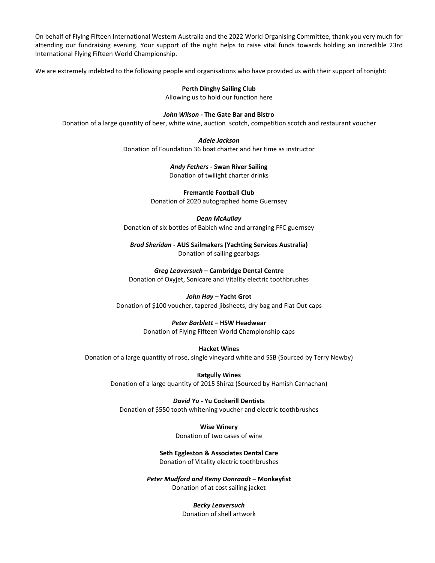On behalf of Flying Fifteen International Western Australia and the 2022 World Organising Committee, thank you very much for attending our fundraising evening. Your support of the night helps to raise vital funds towards holding an incredible 23rd International Flying Fifteen World Championship.

We are extremely indebted to the following people and organisations who have provided us with their support of tonight:

## **Perth Dinghy Sailing Club**

Allowing us to hold our function here

#### *John Wilson -* **The Gate Bar and Bistro**

Donation of a large quantity of beer, white wine, auction scotch, competition scotch and restaurant voucher

*Adele Jackson* Donation of Foundation 36 boat charter and her time as instructor

> *Andy Fethers* **- Swan River Sailing** Donation of twilight charter drinks

**Fremantle Football Club** Donation of 2020 autographed home Guernsey

*Dean McAullay* Donation of six bottles of Babich wine and arranging FFC guernsey

*Brad Sheridan -* **AUS Sailmakers (Yachting Services Australia)** Donation of sailing gearbags

*Greg Leaversuch* **– Cambridge Dental Centre** Donation of Oxyjet, Sonicare and Vitality electric toothbrushes

#### *John Hay* **– Yacht Grot**

Donation of \$100 voucher, tapered jibsheets, dry bag and Flat Out caps

#### *Peter Barblett* **– HSW Headwear**

Donation of Flying Fifteen World Championship caps

#### **Hacket Wines**

Donation of a large quantity of rose, single vineyard white and SSB (Sourced by Terry Newby)

**Katgully Wines** Donation of a large quantity of 2015 Shiraz (Sourced by Hamish Carnachan)

*David Yu -* **Yu Cockerill Dentists** Donation of \$550 tooth whitening voucher and electric toothbrushes

> **Wise Winery** Donation of two cases of wine

**Seth Eggleston & Associates Dental Care** Donation of Vitality electric toothbrushes

*Peter Mudford and Remy Donraadt –* **Monkeyfist** Donation of at cost sailing jacket

> *Becky Leaversuch* Donation of shell artwork